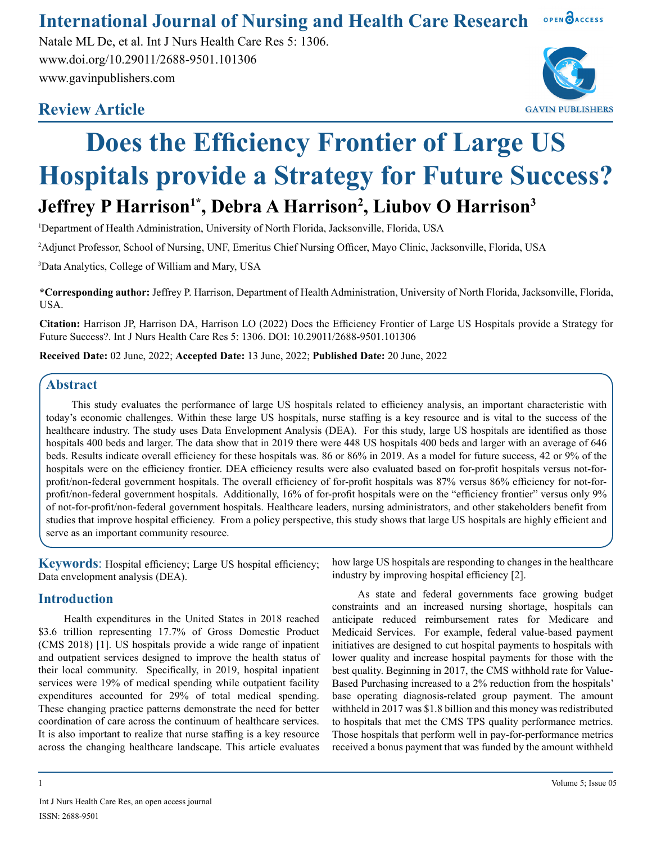#### OPEN OACCESS **International Journal of Nursing and Health Care Research**

Natale ML De, et al. Int J Nurs Health Care Res 5: 1306. www.doi.org/10.29011/2688-9501.101306 www.gavinpublishers.com

# **Review Article**



# **Does the Efficiency Frontier of Large US Hospitals provide a Strategy for Future Success? Jeffrey P Harrison1\*, Debra A Harrison<sup>2</sup> , Liubov O Harrison<sup>3</sup>**

1 Department of Health Administration, University of North Florida, Jacksonville, Florida, USA

2 Adjunct Professor, School of Nursing, UNF, Emeritus Chief Nursing Officer, Mayo Clinic, Jacksonville, Florida, USA

3 Data Analytics, College of William and Mary, USA

**\*Corresponding author:** Jeffrey P. Harrison, Department of Health Administration, University of North Florida, Jacksonville, Florida, USA.

**Citation:** Harrison JP, Harrison DA, Harrison LO (2022) Does the Efficiency Frontier of Large US Hospitals provide a Strategy for Future Success?. Int J Nurs Health Care Res 5: 1306. DOI: 10.29011/2688-9501.101306

**Received Date:** 02 June, 2022; **Accepted Date:** 13 June, 2022; **Published Date:** 20 June, 2022

# **Abstract**

This study evaluates the performance of large US hospitals related to efficiency analysis, an important characteristic with today's economic challenges. Within these large US hospitals, nurse staffing is a key resource and is vital to the success of the healthcare industry. The study uses Data Envelopment Analysis (DEA). For this study, large US hospitals are identified as those hospitals 400 beds and larger. The data show that in 2019 there were 448 US hospitals 400 beds and larger with an average of 646 beds. Results indicate overall efficiency for these hospitals was. 86 or 86% in 2019. As a model for future success, 42 or 9% of the hospitals were on the efficiency frontier. DEA efficiency results were also evaluated based on for-profit hospitals versus not-forprofit/non-federal government hospitals. The overall efficiency of for-profit hospitals was 87% versus 86% efficiency for not-forprofit/non-federal government hospitals. Additionally, 16% of for-profit hospitals were on the "efficiency frontier" versus only 9% of not-for-profit/non-federal government hospitals. Healthcare leaders, nursing administrators, and other stakeholders benefit from studies that improve hospital efficiency. From a policy perspective, this study shows that large US hospitals are highly efficient and serve as an important community resource.

**Keywords:** Hospital efficiency; Large US hospital efficiency; Data envelopment analysis (DEA).

# **Introduction**

Health expenditures in the United States in 2018 reached \$3.6 trillion representing 17.7% of Gross Domestic Product (CMS 2018) [1]. US hospitals provide a wide range of inpatient and outpatient services designed to improve the health status of their local community. Specifically, in 2019, hospital inpatient services were 19% of medical spending while outpatient facility expenditures accounted for 29% of total medical spending. These changing practice patterns demonstrate the need for better coordination of care across the continuum of healthcare services. It is also important to realize that nurse staffing is a key resource across the changing healthcare landscape. This article evaluates

how large US hospitals are responding to changes in the healthcare industry by improving hospital efficiency [2].

As state and federal governments face growing budget constraints and an increased nursing shortage, hospitals can anticipate reduced reimbursement rates for Medicare and Medicaid Services. For example, federal value-based payment initiatives are designed to cut hospital payments to hospitals with lower quality and increase hospital payments for those with the best quality. Beginning in 2017, the CMS withhold rate for Value-Based Purchasing increased to a 2% reduction from the hospitals' base operating diagnosis-related group payment. The amount withheld in 2017 was \$1.8 billion and this money was redistributed to hospitals that met the CMS TPS quality performance metrics. Those hospitals that perform well in pay-for-performance metrics received a bonus payment that was funded by the amount withheld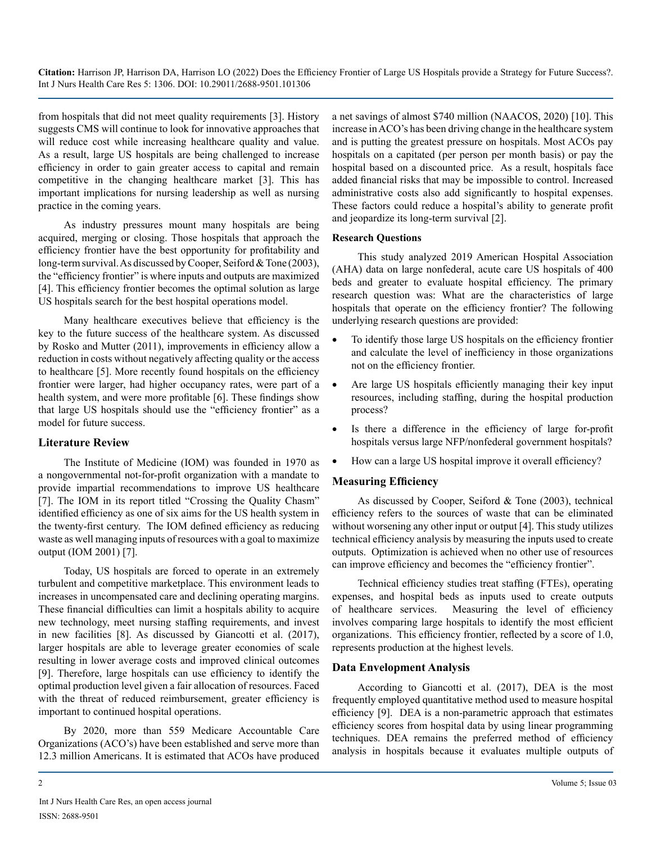from hospitals that did not meet quality requirements [3]. History suggests CMS will continue to look for innovative approaches that will reduce cost while increasing healthcare quality and value. As a result, large US hospitals are being challenged to increase efficiency in order to gain greater access to capital and remain competitive in the changing healthcare market [3]. This has important implications for nursing leadership as well as nursing practice in the coming years.

As industry pressures mount many hospitals are being acquired, merging or closing. Those hospitals that approach the efficiency frontier have the best opportunity for profitability and long-term survival. As discussed by Cooper, Seiford & Tone (2003), the "efficiency frontier" is where inputs and outputs are maximized [4]. This efficiency frontier becomes the optimal solution as large US hospitals search for the best hospital operations model.

Many healthcare executives believe that efficiency is the key to the future success of the healthcare system. As discussed by Rosko and Mutter (2011), improvements in efficiency allow a reduction in costs without negatively affecting quality or the access to healthcare [5]. More recently found hospitals on the efficiency frontier were larger, had higher occupancy rates, were part of a health system, and were more profitable [6]. These findings show that large US hospitals should use the "efficiency frontier" as a model for future success.

#### **Literature Review**

The Institute of Medicine (IOM) was founded in 1970 as a nongovernmental not-for-profit organization with a mandate to provide impartial recommendations to improve US healthcare [7]. The IOM in its report titled "Crossing the Quality Chasm" identified efficiency as one of six aims for the US health system in the twenty-first century. The IOM defined efficiency as reducing waste as well managing inputs of resources with a goal to maximize output (IOM 2001) [7].

Today, US hospitals are forced to operate in an extremely turbulent and competitive marketplace. This environment leads to increases in uncompensated care and declining operating margins. These financial difficulties can limit a hospitals ability to acquire new technology, meet nursing staffing requirements, and invest in new facilities [8]. As discussed by Giancotti et al. (2017), larger hospitals are able to leverage greater economies of scale resulting in lower average costs and improved clinical outcomes [9]. Therefore, large hospitals can use efficiency to identify the optimal production level given a fair allocation of resources. Faced with the threat of reduced reimbursement, greater efficiency is important to continued hospital operations.

By 2020, more than 559 Medicare Accountable Care Organizations (ACO's) have been established and serve more than 12.3 million Americans. It is estimated that ACOs have produced

a net savings of almost \$740 million (NAACOS, 2020) [10]. This increase in ACO's has been driving change in the healthcare system and is putting the greatest pressure on hospitals. Most ACOs pay hospitals on a capitated (per person per month basis) or pay the hospital based on a discounted price. As a result, hospitals face added financial risks that may be impossible to control. Increased administrative costs also add significantly to hospital expenses. These factors could reduce a hospital's ability to generate profit and jeopardize its long-term survival [2].

#### **Research Questions**

This study analyzed 2019 American Hospital Association (AHA) data on large nonfederal, acute care US hospitals of 400 beds and greater to evaluate hospital efficiency. The primary research question was: What are the characteristics of large hospitals that operate on the efficiency frontier? The following underlying research questions are provided:

- To identify those large US hospitals on the efficiency frontier and calculate the level of inefficiency in those organizations not on the efficiency frontier.
- Are large US hospitals efficiently managing their key input resources, including staffing, during the hospital production process?
- • Is there a difference in the efficiency of large for-profit hospitals versus large NFP/nonfederal government hospitals?
- How can a large US hospital improve it overall efficiency?

# **Measuring Efficiency**

As discussed by Cooper, Seiford & Tone (2003), technical efficiency refers to the sources of waste that can be eliminated without worsening any other input or output [4]. This study utilizes technical efficiency analysis by measuring the inputs used to create outputs. Optimization is achieved when no other use of resources can improve efficiency and becomes the "efficiency frontier".

Technical efficiency studies treat staffing (FTEs), operating expenses, and hospital beds as inputs used to create outputs of healthcare services. Measuring the level of efficiency involves comparing large hospitals to identify the most efficient organizations. This efficiency frontier, reflected by a score of 1.0, represents production at the highest levels.

# **Data Envelopment Analysis**

According to Giancotti et al. (2017), DEA is the most frequently employed quantitative method used to measure hospital efficiency [9]. DEA is a non-parametric approach that estimates efficiency scores from hospital data by using linear programming techniques. DEA remains the preferred method of efficiency analysis in hospitals because it evaluates multiple outputs of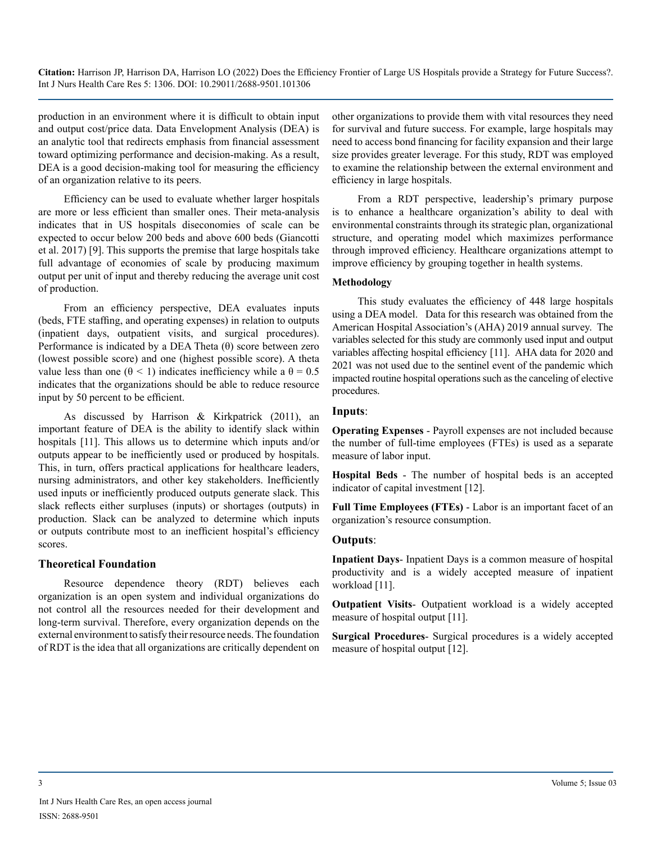production in an environment where it is difficult to obtain input and output cost/price data. Data Envelopment Analysis (DEA) is an analytic tool that redirects emphasis from financial assessment toward optimizing performance and decision-making. As a result, DEA is a good decision-making tool for measuring the efficiency of an organization relative to its peers.

Efficiency can be used to evaluate whether larger hospitals are more or less efficient than smaller ones. Their meta-analysis indicates that in US hospitals diseconomies of scale can be expected to occur below 200 beds and above 600 beds (Giancotti et al. 2017) [9]. This supports the premise that large hospitals take full advantage of economies of scale by producing maximum output per unit of input and thereby reducing the average unit cost of production.

From an efficiency perspective, DEA evaluates inputs (beds, FTE staffing, and operating expenses) in relation to outputs (inpatient days, outpatient visits, and surgical procedures). Performance is indicated by a DEA Theta  $(\theta)$  score between zero (lowest possible score) and one (highest possible score). A theta value less than one ( $\theta$  < 1) indicates inefficiency while a  $\theta$  = 0.5 indicates that the organizations should be able to reduce resource input by 50 percent to be efficient.

As discussed by Harrison & Kirkpatrick (2011), an important feature of DEA is the ability to identify slack within hospitals [11]. This allows us to determine which inputs and/or outputs appear to be inefficiently used or produced by hospitals. This, in turn, offers practical applications for healthcare leaders, nursing administrators, and other key stakeholders. Inefficiently used inputs or inefficiently produced outputs generate slack. This slack reflects either surpluses (inputs) or shortages (outputs) in production. Slack can be analyzed to determine which inputs or outputs contribute most to an inefficient hospital's efficiency scores.

#### **Theoretical Foundation**

Resource dependence theory (RDT) believes each organization is an open system and individual organizations do not control all the resources needed for their development and long-term survival. Therefore, every organization depends on the external environment to satisfy their resource needs. The foundation of RDT is the idea that all organizations are critically dependent on

other organizations to provide them with vital resources they need for survival and future success. For example, large hospitals may need to access bond financing for facility expansion and their large size provides greater leverage. For this study, RDT was employed to examine the relationship between the external environment and efficiency in large hospitals.

From a RDT perspective, leadership's primary purpose is to enhance a healthcare organization's ability to deal with environmental constraints through its strategic plan, organizational structure, and operating model which maximizes performance through improved efficiency. Healthcare organizations attempt to improve efficiency by grouping together in health systems.

### **Methodology**

This study evaluates the efficiency of 448 large hospitals using a DEA model. Data for this research was obtained from the American Hospital Association's (AHA) 2019 annual survey. The variables selected for this study are commonly used input and output variables affecting hospital efficiency [11]. AHA data for 2020 and 2021 was not used due to the sentinel event of the pandemic which impacted routine hospital operations such as the canceling of elective procedures.

# **Inputs**:

**Operating Expenses** - Payroll expenses are not included because the number of full-time employees (FTEs) is used as a separate measure of labor input.

**Hospital Beds** - The number of hospital beds is an accepted indicator of capital investment [12].

**Full Time Employees (FTEs)** - Labor is an important facet of an organization's resource consumption.

# **Outputs**:

**Inpatient Days**- Inpatient Days is a common measure of hospital productivity and is a widely accepted measure of inpatient workload [11].

**Outpatient Visits**- Outpatient workload is a widely accepted measure of hospital output [11].

**Surgical Procedures**- Surgical procedures is a widely accepted measure of hospital output [12].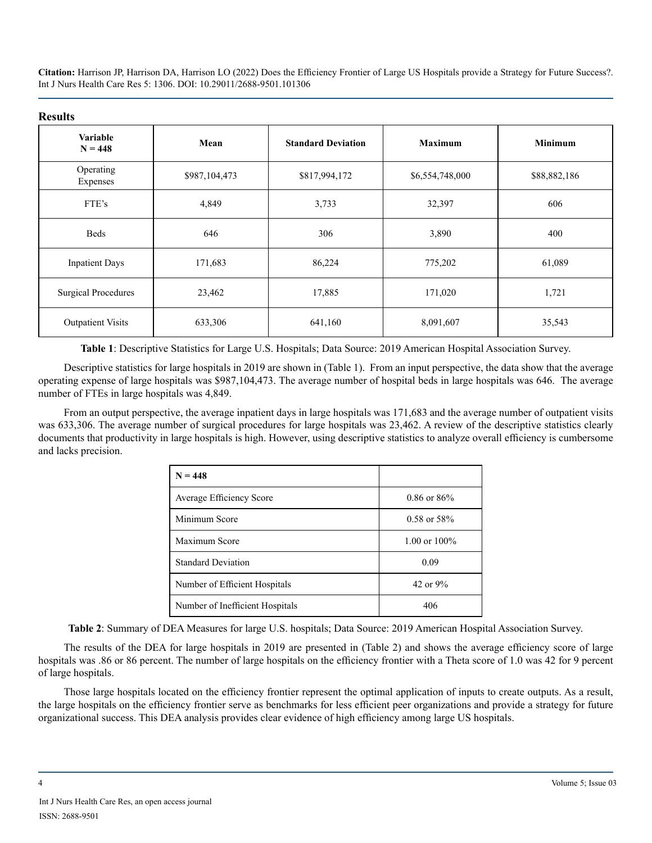#### **Results**

| Variable<br>$N = 448$      | Mean          | <b>Standard Deviation</b> | <b>Maximum</b>  | <b>Minimum</b> |
|----------------------------|---------------|---------------------------|-----------------|----------------|
| Operating<br>Expenses      | \$987,104,473 | \$817,994,172             | \$6,554,748,000 | \$88,882,186   |
| FTE's                      | 4,849         | 3,733                     | 32,397          | 606            |
| <b>Beds</b>                | 646           | 306                       | 3,890           | 400            |
| <b>Inpatient Days</b>      | 171,683       | 86,224                    | 775,202         | 61,089         |
| <b>Surgical Procedures</b> | 23,462        | 17,885                    | 171,020         | 1,721          |
| <b>Outpatient Visits</b>   | 633,306       | 641,160                   | 8,091,607       | 35,543         |

**Table 1**: Descriptive Statistics for Large U.S. Hospitals; Data Source: 2019 American Hospital Association Survey.

Descriptive statistics for large hospitals in 2019 are shown in (Table 1). From an input perspective, the data show that the average operating expense of large hospitals was \$987,104,473. The average number of hospital beds in large hospitals was 646. The average number of FTEs in large hospitals was 4,849.

From an output perspective, the average inpatient days in large hospitals was 171,683 and the average number of outpatient visits was 633,306. The average number of surgical procedures for large hospitals was 23,462. A review of the descriptive statistics clearly documents that productivity in large hospitals is high. However, using descriptive statistics to analyze overall efficiency is cumbersome and lacks precision.

| $N = 448$                       |                  |
|---------------------------------|------------------|
| Average Efficiency Score        | $0.86$ or $86\%$ |
| Minimum Score                   | $0.58$ or $58\%$ |
| Maximum Score                   | 1.00 or $100\%$  |
| <b>Standard Deviation</b>       | 0.09             |
| Number of Efficient Hospitals   | 42 or $9\%$      |
| Number of Inefficient Hospitals | 406              |

**Table 2**: Summary of DEA Measures for large U.S. hospitals; Data Source: 2019 American Hospital Association Survey.

The results of the DEA for large hospitals in 2019 are presented in (Table 2) and shows the average efficiency score of large hospitals was .86 or 86 percent. The number of large hospitals on the efficiency frontier with a Theta score of 1.0 was 42 for 9 percent of large hospitals.

Those large hospitals located on the efficiency frontier represent the optimal application of inputs to create outputs. As a result, the large hospitals on the efficiency frontier serve as benchmarks for less efficient peer organizations and provide a strategy for future organizational success. This DEA analysis provides clear evidence of high efficiency among large US hospitals.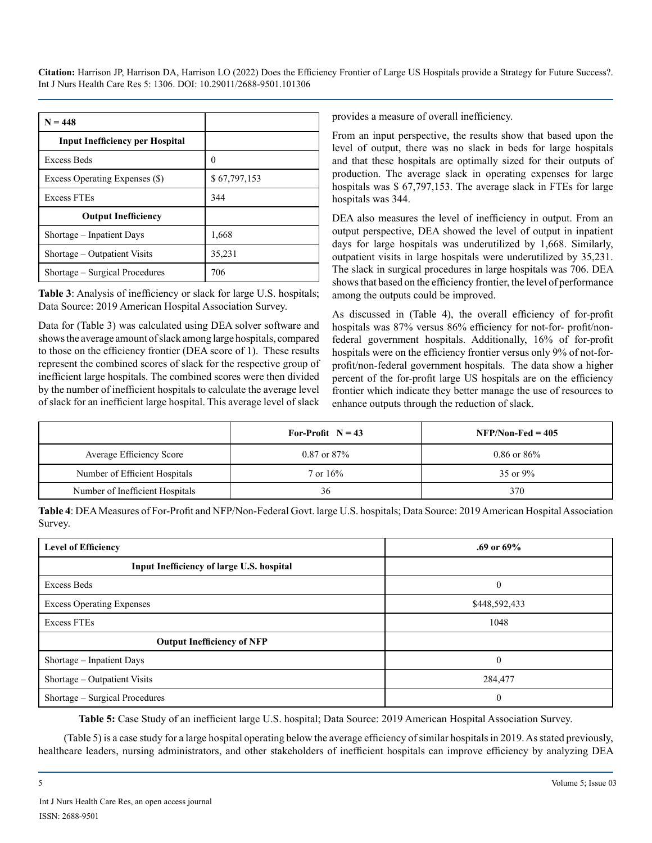| $N = 448$                              |              |
|----------------------------------------|--------------|
| <b>Input Inefficiency per Hospital</b> |              |
| <b>Excess Beds</b>                     | $\theta$     |
| Excess Operating Expenses (\$)         | \$67,797,153 |
| <b>Excess FTEs</b>                     | 344          |
| <b>Output Inefficiency</b>             |              |
| Shortage – Inpatient Days              | 1,668        |
| Shortage – Outpatient Visits           | 35,231       |
| Shortage – Surgical Procedures         | 706          |

**Table 3**: Analysis of inefficiency or slack for large U.S. hospitals; Data Source: 2019 American Hospital Association Survey.

Data for (Table 3) was calculated using DEA solver software and shows the average amount of slack among large hospitals, compared to those on the efficiency frontier (DEA score of 1). These results represent the combined scores of slack for the respective group of inefficient large hospitals. The combined scores were then divided by the number of inefficient hospitals to calculate the average level of slack for an inefficient large hospital. This average level of slack

provides a measure of overall inefficiency.

From an input perspective, the results show that based upon the level of output, there was no slack in beds for large hospitals and that these hospitals are optimally sized for their outputs of production. The average slack in operating expenses for large hospitals was \$ 67,797,153. The average slack in FTEs for large hospitals was 344.

DEA also measures the level of inefficiency in output. From an output perspective, DEA showed the level of output in inpatient days for large hospitals was underutilized by 1,668. Similarly, outpatient visits in large hospitals were underutilized by 35,231. The slack in surgical procedures in large hospitals was 706. DEA shows that based on the efficiency frontier, the level of performance among the outputs could be improved.

As discussed in (Table 4), the overall efficiency of for-profit hospitals was 87% versus 86% efficiency for not-for- profit/nonfederal government hospitals. Additionally, 16% of for-profit hospitals were on the efficiency frontier versus only 9% of not-forprofit/non-federal government hospitals. The data show a higher percent of the for-profit large US hospitals are on the efficiency frontier which indicate they better manage the use of resources to enhance outputs through the reduction of slack.

|                                 | For-Profit $N = 43$  | $NFP/Non-Fed = 405$ |
|---------------------------------|----------------------|---------------------|
| <b>Average Efficiency Score</b> | $0.87$ or $87\%$     | $0.86$ or $86\%$    |
| Number of Efficient Hospitals   | $7 \text{ or } 16\%$ | 35 or $9\%$         |
| Number of Inefficient Hospitals | 36                   | 370                 |

**Table 4**: DEA Measures of For-Profit and NFP/Non-Federal Govt. large U.S. hospitals; Data Source: 2019 American Hospital Association Survey.

| <b>Level of Efficiency</b>                | .69 or $69\%$ |
|-------------------------------------------|---------------|
| Input Inefficiency of large U.S. hospital |               |
| Excess Beds                               | $\theta$      |
| <b>Excess Operating Expenses</b>          | \$448,592,433 |
| <b>Excess FTEs</b>                        | 1048          |
| <b>Output Inefficiency of NFP</b>         |               |
| Shortage – Inpatient Days                 | $\Omega$      |
| Shortage – Outpatient Visits              | 284,477       |
| Shortage – Surgical Procedures            | $\theta$      |

**Table 5:** Case Study of an inefficient large U.S. hospital; Data Source: 2019 American Hospital Association Survey.

(Table 5) is a case study for a large hospital operating below the average efficiency of similar hospitals in 2019. As stated previously, healthcare leaders, nursing administrators, and other stakeholders of inefficient hospitals can improve efficiency by analyzing DEA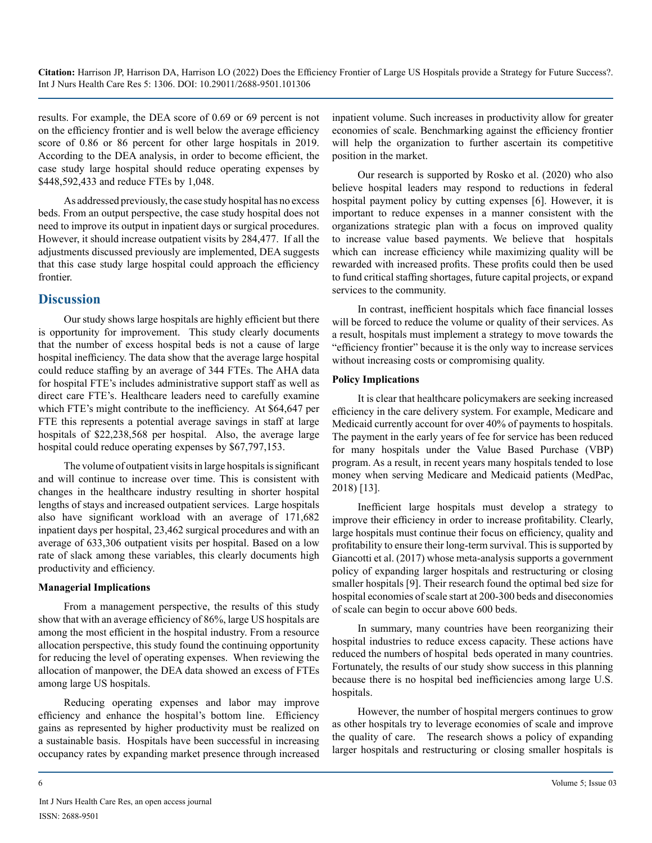results. For example, the DEA score of 0.69 or 69 percent is not on the efficiency frontier and is well below the average efficiency score of 0.86 or 86 percent for other large hospitals in 2019. According to the DEA analysis, in order to become efficient, the case study large hospital should reduce operating expenses by \$448,592,433 and reduce FTEs by 1,048.

As addressed previously, the case study hospital has no excess beds. From an output perspective, the case study hospital does not need to improve its output in inpatient days or surgical procedures. However, it should increase outpatient visits by 284,477. If all the adjustments discussed previously are implemented, DEA suggests that this case study large hospital could approach the efficiency frontier.

# **Discussion**

Our study shows large hospitals are highly efficient but there is opportunity for improvement. This study clearly documents that the number of excess hospital beds is not a cause of large hospital inefficiency. The data show that the average large hospital could reduce staffing by an average of 344 FTEs. The AHA data for hospital FTE's includes administrative support staff as well as direct care FTE's. Healthcare leaders need to carefully examine which FTE's might contribute to the inefficiency. At \$64,647 per FTE this represents a potential average savings in staff at large hospitals of \$22,238,568 per hospital. Also, the average large hospital could reduce operating expenses by \$67,797,153.

The volume of outpatient visits in large hospitals is significant and will continue to increase over time. This is consistent with changes in the healthcare industry resulting in shorter hospital lengths of stays and increased outpatient services. Large hospitals also have significant workload with an average of 171,682 inpatient days per hospital, 23,462 surgical procedures and with an average of 633,306 outpatient visits per hospital. Based on a low rate of slack among these variables, this clearly documents high productivity and efficiency.

#### **Managerial Implications**

From a management perspective, the results of this study show that with an average efficiency of 86%, large US hospitals are among the most efficient in the hospital industry. From a resource allocation perspective, this study found the continuing opportunity for reducing the level of operating expenses. When reviewing the allocation of manpower, the DEA data showed an excess of FTEs among large US hospitals.

Reducing operating expenses and labor may improve efficiency and enhance the hospital's bottom line. Efficiency gains as represented by higher productivity must be realized on a sustainable basis. Hospitals have been successful in increasing occupancy rates by expanding market presence through increased

inpatient volume. Such increases in productivity allow for greater economies of scale. Benchmarking against the efficiency frontier will help the organization to further ascertain its competitive position in the market.

Our research is supported by Rosko et al. (2020) who also believe hospital leaders may respond to reductions in federal hospital payment policy by cutting expenses [6]. However, it is important to reduce expenses in a manner consistent with the organizations strategic plan with a focus on improved quality to increase value based payments. We believe that hospitals which can increase efficiency while maximizing quality will be rewarded with increased profits. These profits could then be used to fund critical staffing shortages, future capital projects, or expand services to the community.

In contrast, inefficient hospitals which face financial losses will be forced to reduce the volume or quality of their services. As a result, hospitals must implement a strategy to move towards the "efficiency frontier" because it is the only way to increase services without increasing costs or compromising quality.

#### **Policy Implications**

It is clear that healthcare policymakers are seeking increased efficiency in the care delivery system. For example, Medicare and Medicaid currently account for over 40% of payments to hospitals. The payment in the early years of fee for service has been reduced for many hospitals under the Value Based Purchase (VBP) program. As a result, in recent years many hospitals tended to lose money when serving Medicare and Medicaid patients (MedPac, 2018) [13].

Inefficient large hospitals must develop a strategy to improve their efficiency in order to increase profitability. Clearly, large hospitals must continue their focus on efficiency, quality and profitability to ensure their long-term survival. This is supported by Giancotti et al. (2017) whose meta-analysis supports a government policy of expanding larger hospitals and restructuring or closing smaller hospitals [9]. Their research found the optimal bed size for hospital economies of scale start at 200-300 beds and diseconomies of scale can begin to occur above 600 beds.

In summary, many countries have been reorganizing their hospital industries to reduce excess capacity. These actions have reduced the numbers of hospital beds operated in many countries. Fortunately, the results of our study show success in this planning because there is no hospital bed inefficiencies among large U.S. hospitals.

However, the number of hospital mergers continues to grow as other hospitals try to leverage economies of scale and improve the quality of care. The research shows a policy of expanding larger hospitals and restructuring or closing smaller hospitals is